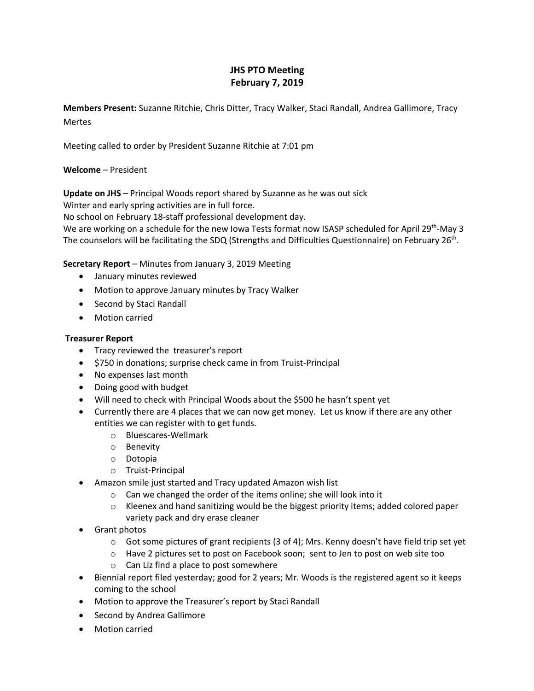# **JHS PTO Meeting February 7, 2019**

**Members Present:** Suzanne Ritchie, Chris Ditter, Tracy Walker, Staci Randall, Andrea Gallimore, Tracy **Mertes** 

Meeting called to order by President Suzanne Ritchie at 7:01 pm

# **Welcome** – President

**Update on JHS** – Principal Woods report shared by Suzanne as he was out sick

Winter and early spring activities are in full force.

No school on February 18-staff professional development day.

We are working on a schedule for the new Iowa Tests format now ISASP scheduled for April 29<sup>th</sup>-May 3 The counselors will be facilitating the SDQ (Strengths and Difficulties Questionnaire) on February 26<sup>th</sup>.

# **Secretary Report** – Minutes from January 3, 2019 Meeting

- January minutes reviewed
- Motion to approve January minutes by Tracy Walker
- Second by Staci Randall
- Motion carried

## **Treasurer Report**

- Tracy reviewed the treasurer's report
- \$750 in donations; surprise check came in from Truist-Principal
- No expenses last month
- Doing good with budget
- Will need to check with Principal Woods about the \$500 he hasn't spent yet
- Currently there are 4 places that we can now get money. Let us know if there are any other entities we can register with to get funds.
	- o Bluescares-Wellmark
	- o Benevity
	- o Dotopia
	- o Truist-Principal
- Amazon smile just started and Tracy updated Amazon wish list
	- o Can we changed the order of the items online; she will look into it
	- o Kleenex and hand sanitizing would be the biggest priority items; added colored paper variety pack and dry erase cleaner
- Grant photos
	- o Got some pictures of grant recipients (3 of 4); Mrs. Kenny doesn't have field trip set yet
	- o Have 2 pictures set to post on Facebook soon; sent to Jen to post on web site too
	- o Can Liz find a place to post somewhere
- Biennial report filed yesterday; good for 2 years; Mr. Woods is the registered agent so it keeps coming to the school
- Motion to approve the Treasurer's report by Staci Randall
- Second by Andrea Gallimore
- Motion carried